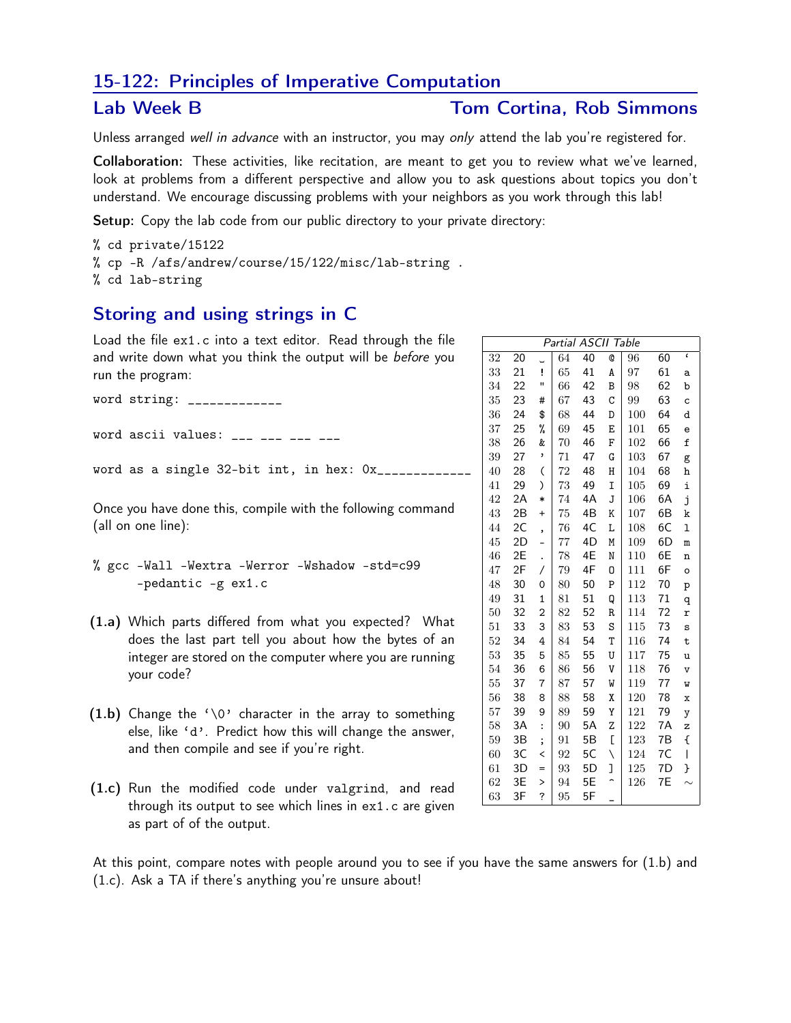## 15-122: Principles of Imperative Computation

#### Lab Week B

### **Tom Cortina. Rob Simmons**

Unless arranged well in advance with an instructor, you may only attend the lab you're registered for.

Collaboration: These activities, like recitation, are meant to get you to review what we've learned, look at problems from a different perspective and allow you to ask questions about topics you don't understand. We encourage discussing problems with your neighbors as you work through this lab!

**Setup:** Copy the lab code from our public directory to your private directory:

% cd private/15122 % cp -R /afs/andrew/course/15/122/misc/lab-string . % cd lab-string

# Storing and using strings in C

Load the file ex1.c into a text editor. Read through the file and write down what you think the output will be before you run the program:

word string: \_\_\_\_\_\_\_\_\_\_\_\_\_

word ascii values: \_\_\_ \_\_\_ \_\_\_ \_\_\_

word as a single 32-bit int, in hex: 0x\_\_\_\_\_\_\_\_\_\_\_\_\_

Once you have done this, compile with the following command (all on one line):

- % gcc -Wall -Wextra -Werror -Wshadow -std=c99  $-pedantic - g ex1.c$
- (1.a) Which parts differed from what you expected? What does the last part tell you about how the bytes of an integer are stored on the computer where you are running your code?
- $(1.b)$  Change the '\0' character in the array to something else, like 'd'. Predict how this will change the answer, and then compile and see if you're right.
- (1.c) Run the modified code under valgrind, and read through its output to see which lines in ex1.c are given as part of of the output.

|  | At this point, compare notes with people around you to see if you have the same answers for (1.b) and |  |  |  |  |  |  |  |  |
|--|-------------------------------------------------------------------------------------------------------|--|--|--|--|--|--|--|--|
|  | $(1.c)$ . Ask a TA if there's anything you're unsure about!                                           |  |  |  |  |  |  |  |  |

| Partial ASCII Table |    |                    |    |    |   |     |    |               |  |  |  |  |  |
|---------------------|----|--------------------|----|----|---|-----|----|---------------|--|--|--|--|--|
| 32                  | 20 |                    | 64 | 40 | Q | 96  | 60 | $\pmb{\zeta}$ |  |  |  |  |  |
| 33                  | 21 | ï                  | 65 | 41 | A | 97  | 61 | a             |  |  |  |  |  |
| 34                  | 22 | п                  | 66 | 42 | B | 98  | 62 | b             |  |  |  |  |  |
| 35                  | 23 | #                  | 67 | 43 | C | 99  | 63 | с             |  |  |  |  |  |
| 36                  | 24 | \$                 | 68 | 44 | D | 100 | 64 | d             |  |  |  |  |  |
| 37                  | 25 | %                  | 69 | 45 | E | 101 | 65 | e             |  |  |  |  |  |
| 38                  | 26 | &                  | 70 | 46 | F | 102 | 66 | £             |  |  |  |  |  |
| 39                  | 27 | ,                  | 71 | 47 | G | 103 | 67 | g             |  |  |  |  |  |
| 40                  | 28 | $\overline{(\ }$   | 72 | 48 | Η | 104 | 68 | h             |  |  |  |  |  |
| 41                  | 29 | $\mathcal{E}$      | 73 | 49 | I | 105 | 69 | i             |  |  |  |  |  |
| 42                  | 2A | $\ast$             | 74 | 4A | J | 106 | 6A | j             |  |  |  |  |  |
| 43                  | 2B | $\ddot{}$          | 75 | 4B | K | 107 | 6B | k             |  |  |  |  |  |
| 44                  | 2C | ,                  | 76 | 4C | L | 108 | 6C | ı             |  |  |  |  |  |
| 45                  | 2D |                    | 77 | 4D | M | 109 | 6D | m             |  |  |  |  |  |
| 46                  | 2E |                    | 78 | 4E | N | 110 | 6E | n             |  |  |  |  |  |
| 47                  | 2F | Τ                  | 79 | 4F | 0 | 111 | 6F | $\circ$       |  |  |  |  |  |
| 48                  | 30 | 0                  | 80 | 50 | P | 112 | 70 | p             |  |  |  |  |  |
| 49                  | 31 | $\overline{1}$     | 81 | 51 | Q | 113 | 71 | q             |  |  |  |  |  |
| 50                  | 32 | $\overline{2}$     | 82 | 52 | R | 114 | 72 | r             |  |  |  |  |  |
| 51                  | 33 | 3                  | 83 | 53 | S | 115 | 73 | S             |  |  |  |  |  |
| 52                  | 34 | 4                  | 84 | 54 | T | 116 | 74 | t             |  |  |  |  |  |
| 53                  | 35 | 5                  | 85 | 55 | U | 117 | 75 | u             |  |  |  |  |  |
| 54                  | 36 | 6                  | 86 | 56 | V | 118 | 76 | V             |  |  |  |  |  |
| 55                  | 37 | 7                  | 87 | 57 | W | 119 | 77 | M             |  |  |  |  |  |
| 56                  | 38 | 8                  | 88 | 58 | Χ | 120 | 78 | x             |  |  |  |  |  |
| 57                  | 39 | 9                  | 89 | 59 | Υ | 121 | 79 | y             |  |  |  |  |  |
| 58                  | 3A | $\vdots$           | 90 | 5A | Z | 122 | 7A | z             |  |  |  |  |  |
| 59                  | 3B | $\mathbf{\dot{i}}$ | 91 | 5Β | ſ | 123 | 7B | ſ             |  |  |  |  |  |
| 60                  | 3C | <                  | 92 | 5C | N | 124 | 7C | I             |  |  |  |  |  |
| 61                  | 3D | =                  | 93 | 5D | 1 | 125 | 7D | }             |  |  |  |  |  |
| 62                  | 3E | >                  | 94 | 5E |   | 126 | 7Е |               |  |  |  |  |  |
| 63                  | 3F | ?                  | 95 | 5F |   |     |    |               |  |  |  |  |  |